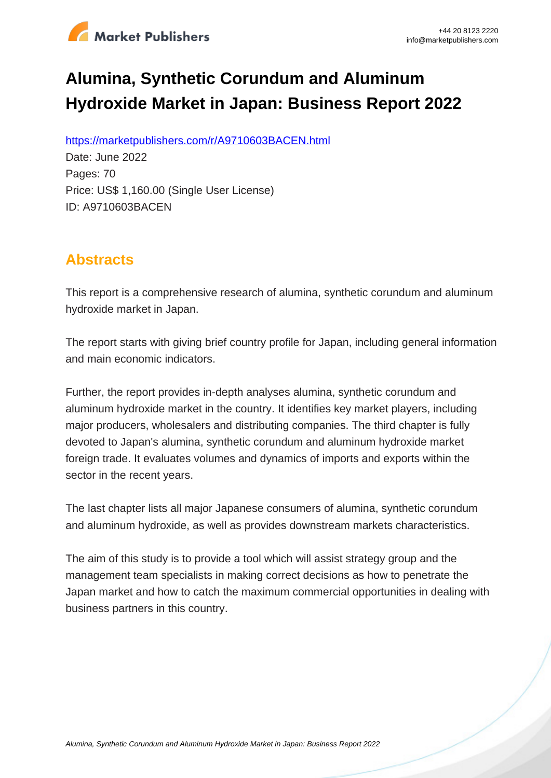

# **Alumina, Synthetic Corundum and Aluminum Hydroxide Market in Japan: Business Report 2022**

https://marketpublishers.com/r/A9710603BACEN.html

Date: June 2022 Pages: 70 Price: US\$ 1,160.00 (Single User License) ID: A9710603BACEN

# **Abstracts**

This report is a comprehensive research of alumina, synthetic corundum and aluminum hydroxide market in Japan.

The report starts with giving brief country profile for Japan, including general information and main economic indicators.

Further, the report provides in-depth analyses alumina, synthetic corundum and aluminum hydroxide market in the country. It identifies key market players, including major producers, wholesalers and distributing companies. The third chapter is fully devoted to Japan's alumina, synthetic corundum and aluminum hydroxide market foreign trade. It evaluates volumes and dynamics of imports and exports within the sector in the recent years.

The last chapter lists all major Japanese consumers of alumina, synthetic corundum and aluminum hydroxide, as well as provides downstream markets characteristics.

The aim of this study is to provide a tool which will assist strategy group and the management team specialists in making correct decisions as how to penetrate the Japan market and how to catch the maximum commercial opportunities in dealing with business partners in this country.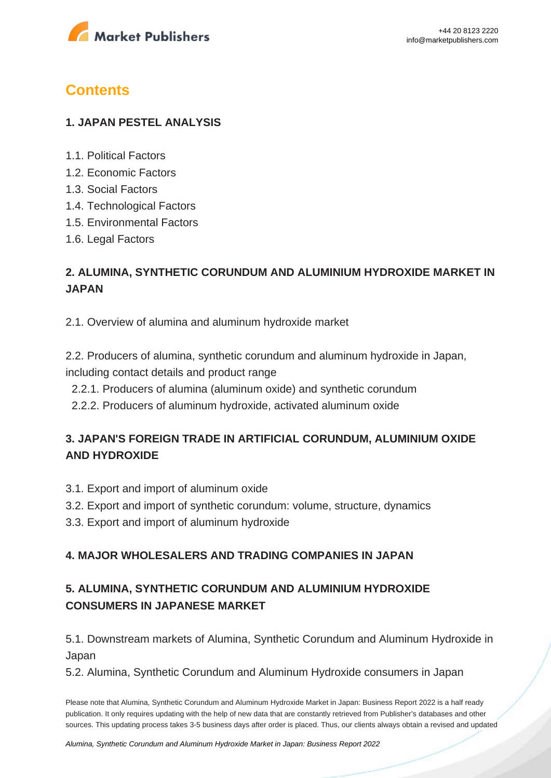

# **Contents**

#### **1. JAPAN PESTEL ANALYSIS**

- 1.1. Political Factors
- 1.2. Economic Factors
- 1.3. Social Factors
- 1.4. Technological Factors
- 1.5. Environmental Factors
- 1.6. Legal Factors

## **2. ALUMINA, SYNTHETIC CORUNDUM AND ALUMINIUM HYDROXIDE MARKET IN JAPAN**

2.1. Overview of alumina and aluminum hydroxide market

2.2. Producers of alumina, synthetic corundum and aluminum hydroxide in Japan, including contact details and product range

- 2.2.1. Producers of alumina (aluminum oxide) and synthetic corundum
- 2.2.2. Producers of aluminum hydroxide, activated aluminum oxide

### **3. JAPAN'S FOREIGN TRADE IN ARTIFICIAL CORUNDUM, ALUMINIUM OXIDE AND HYDROXIDE**

- 3.1. Export and import of aluminum oxide
- 3.2. Export and import of synthetic corundum: volume, structure, dynamics
- 3.3. Export and import of aluminum hydroxide

#### **4. MAJOR WHOLESALERS AND TRADING COMPANIES IN JAPAN**

## **5. ALUMINA, SYNTHETIC CORUNDUM AND ALUMINIUM HYDROXIDE CONSUMERS IN JAPANESE MARKET**

5.1. Downstream markets of Alumina, Synthetic Corundum and Aluminum Hydroxide in Japan

5.2. Alumina, Synthetic Corundum and Aluminum Hydroxide consumers in Japan

Please note that Alumina, Synthetic Corundum and Aluminum Hydroxide Market in Japan: Business Report 2022 is a half ready publication. It only requires updating with the help of new data that are constantly retrieved from Publisher's databases and other sources. This updating process takes 3-5 business days after order is placed. Thus, our clients always obtain a revised and updated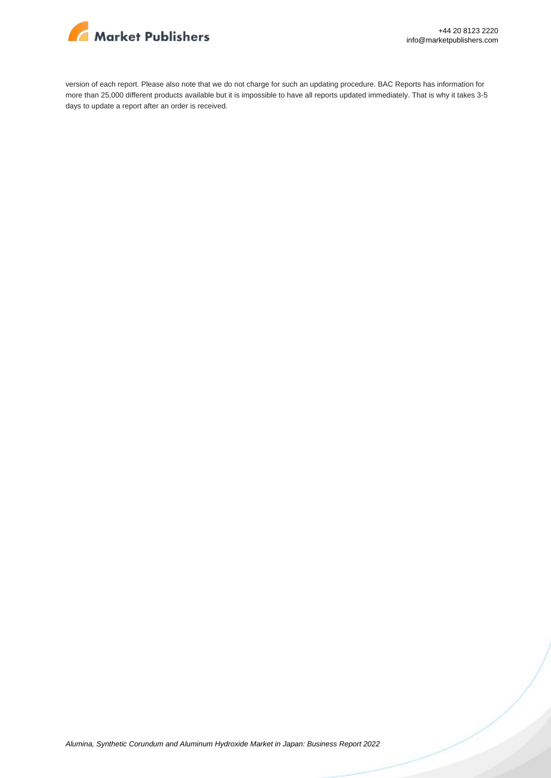

version of each report. Please also note that we do not charge for such an updating procedure. BAC Reports has information for more than 25,000 different products available but it is impossible to have all reports updated immediately. That is why it takes 3-5 days to update a report after an order is received.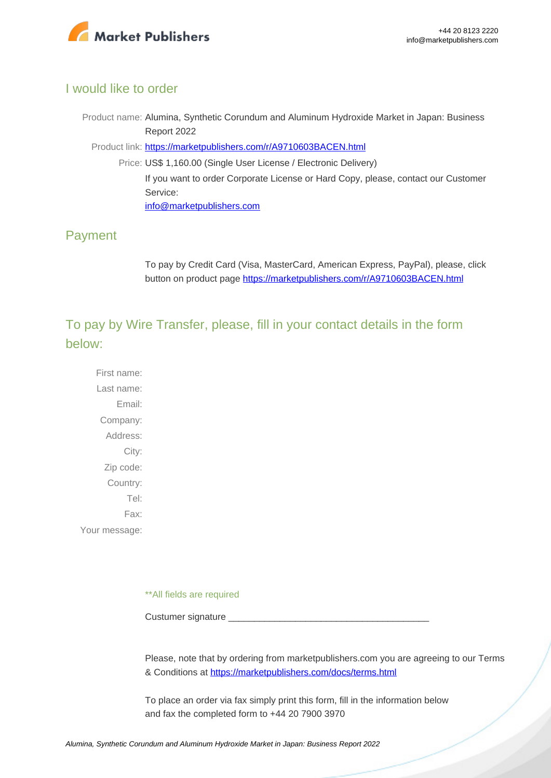

#### I would like to order

Product name: Alumina, Synthetic Corundum and Aluminum Hydroxide Market in Japan: Business Report 2022

Product link: [https://marketpublishers.com/r/A9710603BACEN.html](https://marketpublishers.com/report/industry/chemicals_petrochemicals/alumina_synthetic_corundum_n_aluminum_hydroxide_market_in_japan_business_report.html)

Price: US\$ 1,160.00 (Single User License / Electronic Delivery) If you want to order Corporate License or Hard Copy, please, contact our Customer Service:

[info@marketpublishers.com](mailto:info@marketpublishers.com)

### Payment

To pay by Credit Card (Visa, MasterCard, American Express, PayPal), please, click button on product page [https://marketpublishers.com/r/A9710603BACEN.html](https://marketpublishers.com/report/industry/chemicals_petrochemicals/alumina_synthetic_corundum_n_aluminum_hydroxide_market_in_japan_business_report.html)

To pay by Wire Transfer, please, fill in your contact details in the form below:

First name: Last name: Email: Company: Address: City: Zip code: Country: Tel: Fax: Your message:

\*\*All fields are required

Custumer signature

Please, note that by ordering from marketpublishers.com you are agreeing to our Terms & Conditions at<https://marketpublishers.com/docs/terms.html>

To place an order via fax simply print this form, fill in the information below and fax the completed form to +44 20 7900 3970